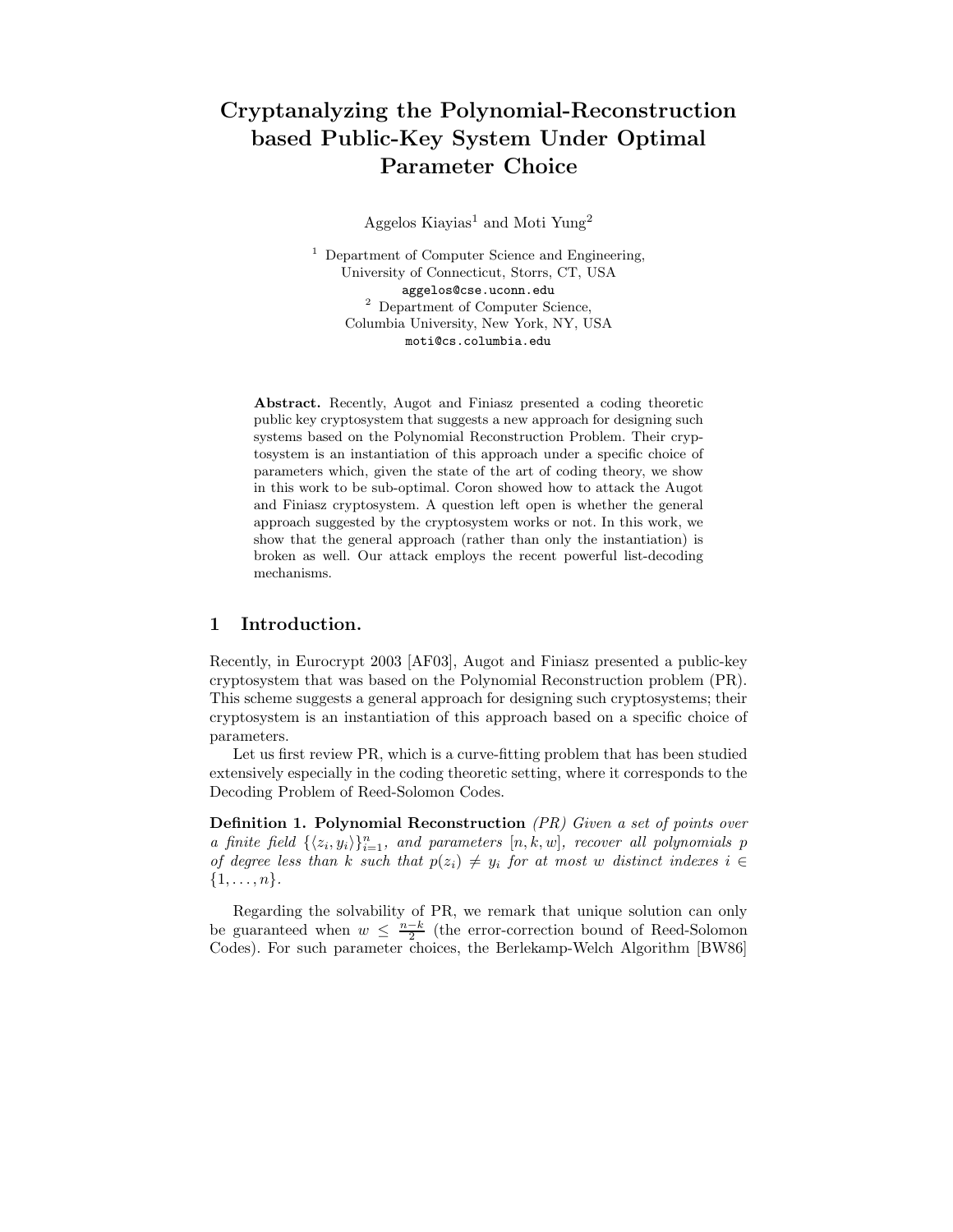# Cryptanalyzing the Polynomial-Reconstruction based Public-Key System Under Optimal Parameter Choice

Aggelos Kiayias<sup>1</sup> and Moti Yung<sup>2</sup>

<sup>1</sup> Department of Computer Science and Engineering, University of Connecticut, Storrs, CT, USA aggelos@cse.uconn.edu <sup>2</sup> Department of Computer Science, Columbia University, New York, NY, USA moti@cs.columbia.edu

Abstract. Recently, Augot and Finiasz presented a coding theoretic public key cryptosystem that suggests a new approach for designing such systems based on the Polynomial Reconstruction Problem. Their cryptosystem is an instantiation of this approach under a specific choice of parameters which, given the state of the art of coding theory, we show in this work to be sub-optimal. Coron showed how to attack the Augot and Finiasz cryptosystem. A question left open is whether the general approach suggested by the cryptosystem works or not. In this work, we show that the general approach (rather than only the instantiation) is broken as well. Our attack employs the recent powerful list-decoding mechanisms.

### 1 Introduction.

Recently, in Eurocrypt 2003 [AF03], Augot and Finiasz presented a public-key cryptosystem that was based on the Polynomial Reconstruction problem (PR). This scheme suggests a general approach for designing such cryptosystems; their cryptosystem is an instantiation of this approach based on a specific choice of parameters.

Let us first review PR, which is a curve-fitting problem that has been studied extensively especially in the coding theoretic setting, where it corresponds to the Decoding Problem of Reed-Solomon Codes.

Definition 1. Polynomial Reconstruction (PR) Given a set of points over a finite field  $\{\langle z_i, y_i \rangle\}_{i=1}^n$ , and parameters  $[n, k, w]$ , recover all polynomials p of degree less than k such that  $p(z_i) \neq y_i$  for at most w distinct indexes  $i \in$  $\{1,\ldots,n\}.$ 

Regarding the solvability of PR, we remark that unique solution can only be guaranteed when  $w \leq \frac{n-k}{2}$  (the error-correction bound of Reed-Solomon Codes). For such parameter choices, the Berlekamp-Welch Algorithm [BW86]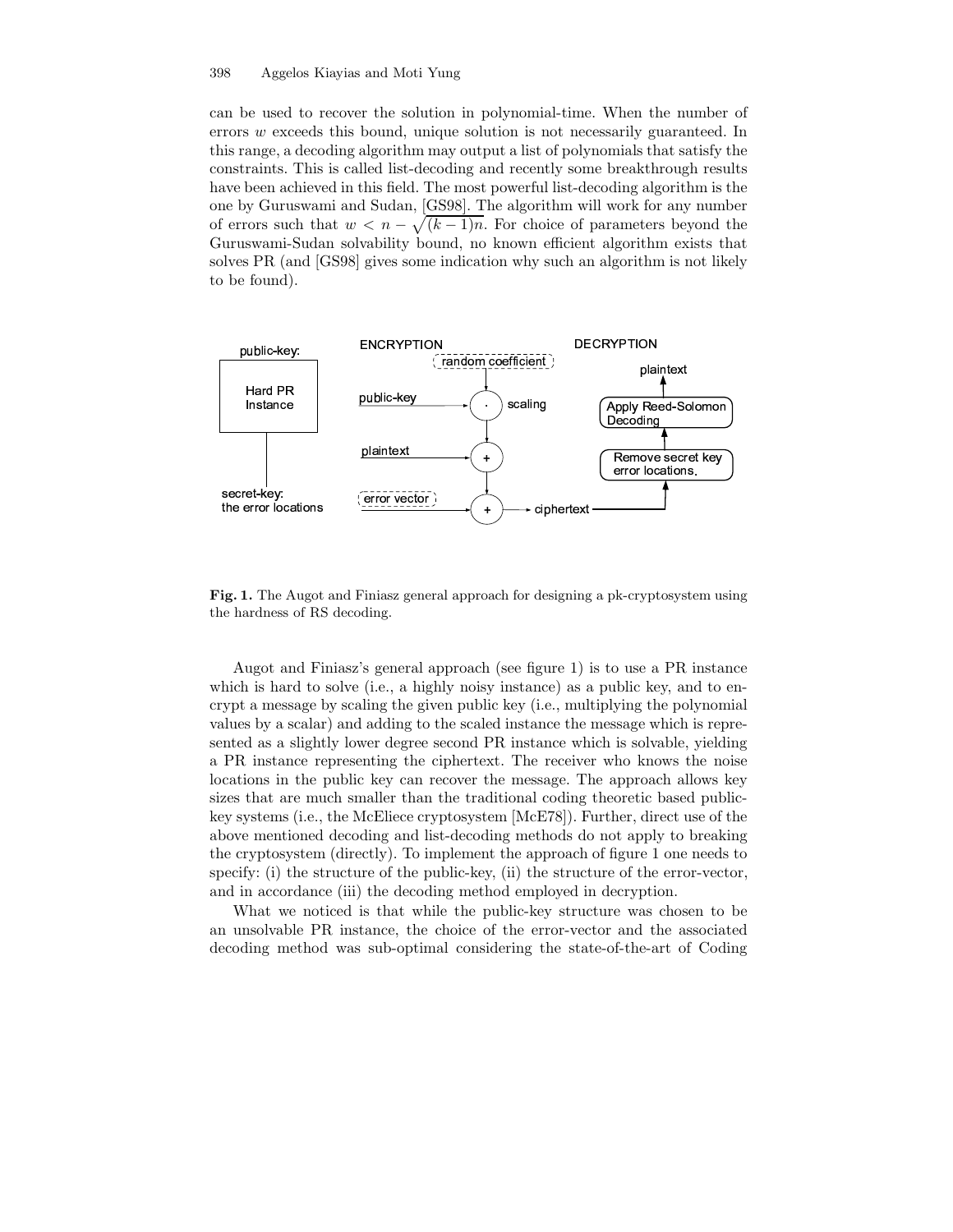can be used to recover the solution in polynomial-time. When the number of errors w exceeds this bound, unique solution is not necessarily guaranteed. In this range, a decoding algorithm may output a list of polynomials that satisfy the constraints. This is called list-decoding and recently some breakthrough results have been achieved in this field. The most powerful list-decoding algorithm is the one by Guruswami and Sudan, [GS98]. The algorithm will work for any number of errors such that  $w < n - \sqrt{(k-1)n}$ . For choice of parameters beyond the Guruswami-Sudan solvability bound, no known efficient algorithm exists that solves PR (and [GS98] gives some indication why such an algorithm is not likely to be found).



Fig. 1. The Augot and Finiasz general approach for designing a pk-cryptosystem using the hardness of RS decoding.

Augot and Finiasz's general approach (see figure 1) is to use a PR instance which is hard to solve (i.e., a highly noisy instance) as a public key, and to encrypt a message by scaling the given public key (i.e., multiplying the polynomial values by a scalar) and adding to the scaled instance the message which is represented as a slightly lower degree second PR instance which is solvable, yielding a PR instance representing the ciphertext. The receiver who knows the noise locations in the public key can recover the message. The approach allows key sizes that are much smaller than the traditional coding theoretic based publickey systems (i.e., the McEliece cryptosystem [McE78]). Further, direct use of the above mentioned decoding and list-decoding methods do not apply to breaking the cryptosystem (directly). To implement the approach of figure 1 one needs to specify: (i) the structure of the public-key, (ii) the structure of the error-vector, and in accordance (iii) the decoding method employed in decryption.

What we noticed is that while the public-key structure was chosen to be an unsolvable PR instance, the choice of the error-vector and the associated decoding method was sub-optimal considering the state-of-the-art of Coding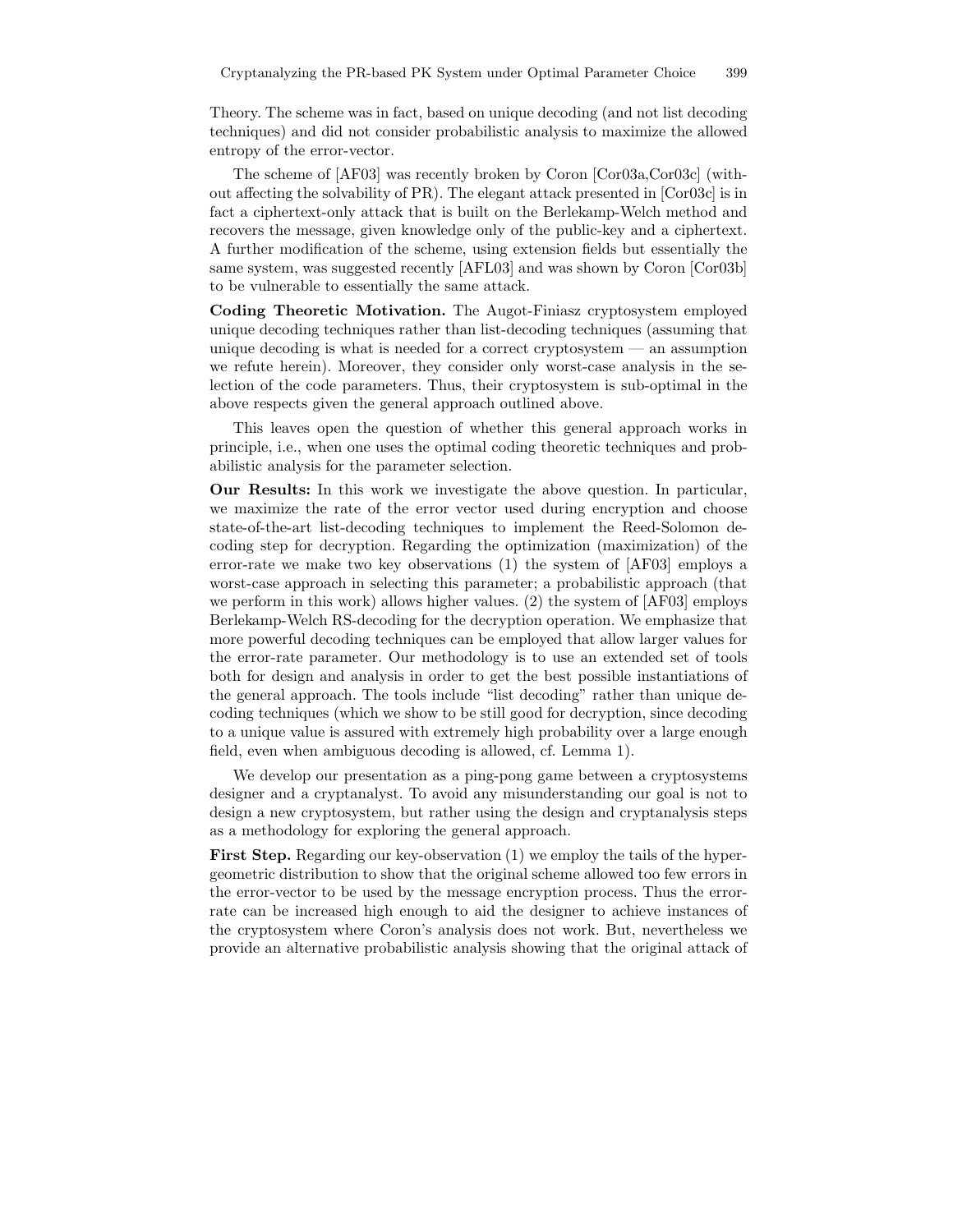Theory. The scheme was in fact, based on unique decoding (and not list decoding techniques) and did not consider probabilistic analysis to maximize the allowed entropy of the error-vector.

The scheme of [AF03] was recently broken by Coron [Cor03a,Cor03c] (without affecting the solvability of PR). The elegant attack presented in [Cor03c] is in fact a ciphertext-only attack that is built on the Berlekamp-Welch method and recovers the message, given knowledge only of the public-key and a ciphertext. A further modification of the scheme, using extension fields but essentially the same system, was suggested recently [AFL03] and was shown by Coron [Cor03b] to be vulnerable to essentially the same attack.

Coding Theoretic Motivation. The Augot-Finiasz cryptosystem employed unique decoding techniques rather than list-decoding techniques (assuming that unique decoding is what is needed for a correct cryptosystem — an assumption we refute herein). Moreover, they consider only worst-case analysis in the selection of the code parameters. Thus, their cryptosystem is sub-optimal in the above respects given the general approach outlined above.

This leaves open the question of whether this general approach works in principle, i.e., when one uses the optimal coding theoretic techniques and probabilistic analysis for the parameter selection.

Our Results: In this work we investigate the above question. In particular, we maximize the rate of the error vector used during encryption and choose state-of-the-art list-decoding techniques to implement the Reed-Solomon decoding step for decryption. Regarding the optimization (maximization) of the error-rate we make two key observations (1) the system of [AF03] employs a worst-case approach in selecting this parameter; a probabilistic approach (that we perform in this work) allows higher values. (2) the system of [AF03] employs Berlekamp-Welch RS-decoding for the decryption operation. We emphasize that more powerful decoding techniques can be employed that allow larger values for the error-rate parameter. Our methodology is to use an extended set of tools both for design and analysis in order to get the best possible instantiations of the general approach. The tools include "list decoding" rather than unique decoding techniques (which we show to be still good for decryption, since decoding to a unique value is assured with extremely high probability over a large enough field, even when ambiguous decoding is allowed, cf. Lemma 1).

We develop our presentation as a ping-pong game between a cryptosystems designer and a cryptanalyst. To avoid any misunderstanding our goal is not to design a new cryptosystem, but rather using the design and cryptanalysis steps as a methodology for exploring the general approach.

First Step. Regarding our key-observation (1) we employ the tails of the hypergeometric distribution to show that the original scheme allowed too few errors in the error-vector to be used by the message encryption process. Thus the errorrate can be increased high enough to aid the designer to achieve instances of the cryptosystem where Coron's analysis does not work. But, nevertheless we provide an alternative probabilistic analysis showing that the original attack of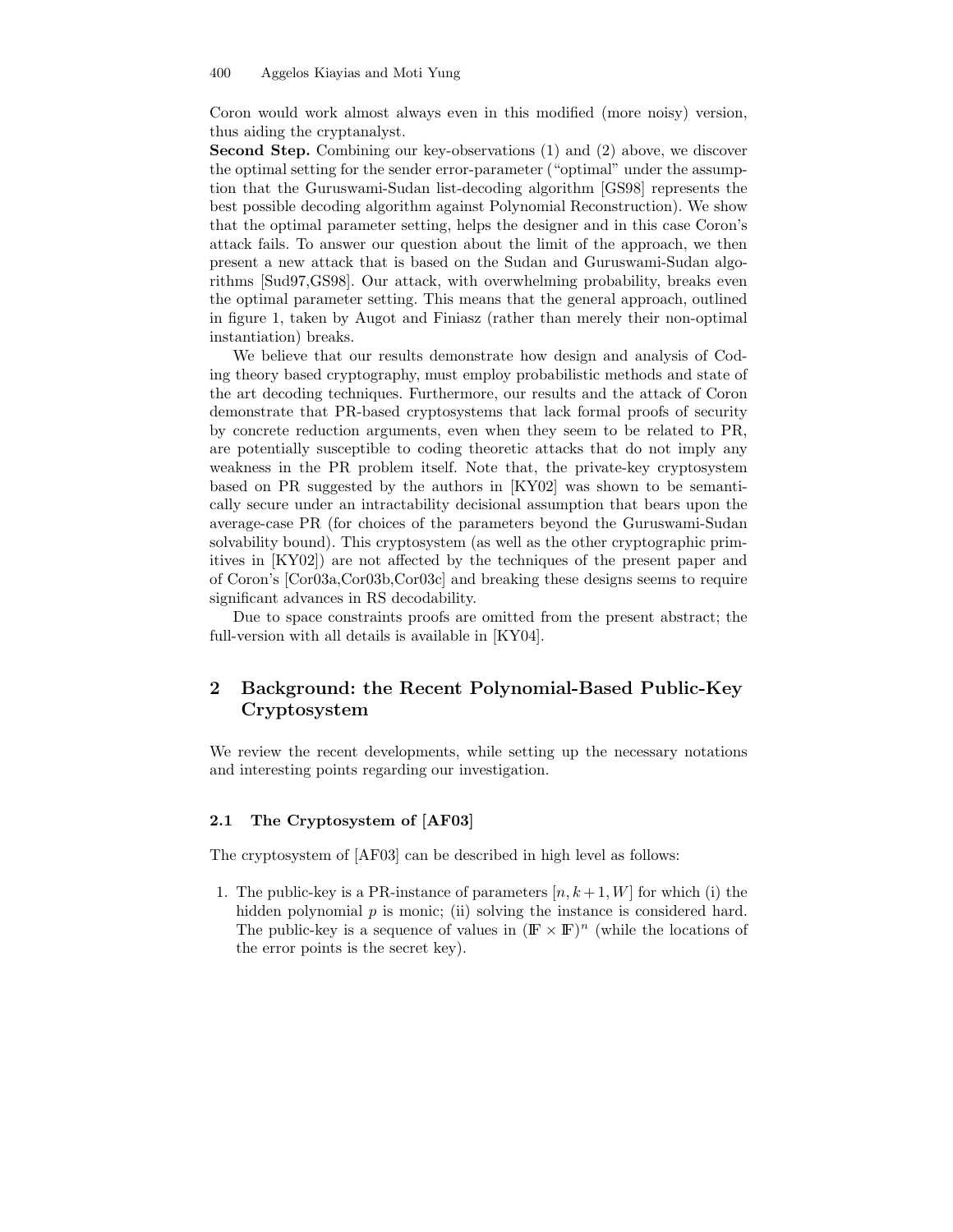Coron would work almost always even in this modified (more noisy) version, thus aiding the cryptanalyst.

Second Step. Combining our key-observations (1) and (2) above, we discover the optimal setting for the sender error-parameter ("optimal" under the assumption that the Guruswami-Sudan list-decoding algorithm [GS98] represents the best possible decoding algorithm against Polynomial Reconstruction). We show that the optimal parameter setting, helps the designer and in this case Coron's attack fails. To answer our question about the limit of the approach, we then present a new attack that is based on the Sudan and Guruswami-Sudan algorithms [Sud97,GS98]. Our attack, with overwhelming probability, breaks even the optimal parameter setting. This means that the general approach, outlined in figure 1, taken by Augot and Finiasz (rather than merely their non-optimal instantiation) breaks.

We believe that our results demonstrate how design and analysis of Coding theory based cryptography, must employ probabilistic methods and state of the art decoding techniques. Furthermore, our results and the attack of Coron demonstrate that PR-based cryptosystems that lack formal proofs of security by concrete reduction arguments, even when they seem to be related to PR, are potentially susceptible to coding theoretic attacks that do not imply any weakness in the PR problem itself. Note that, the private-key cryptosystem based on PR suggested by the authors in [KY02] was shown to be semantically secure under an intractability decisional assumption that bears upon the average-case PR (for choices of the parameters beyond the Guruswami-Sudan solvability bound). This cryptosystem (as well as the other cryptographic primitives in [KY02]) are not affected by the techniques of the present paper and of Coron's [Cor03a,Cor03b,Cor03c] and breaking these designs seems to require significant advances in RS decodability.

Due to space constraints proofs are omitted from the present abstract; the full-version with all details is available in [KY04].

# 2 Background: the Recent Polynomial-Based Public-Key Cryptosystem

We review the recent developments, while setting up the necessary notations and interesting points regarding our investigation.

#### 2.1 The Cryptosystem of [AF03]

The cryptosystem of [AF03] can be described in high level as follows:

1. The public-key is a PR-instance of parameters  $[n, k+1, W]$  for which (i) the hidden polynomial  $p$  is monic; (ii) solving the instance is considered hard. The public-key is a sequence of values in  $(\mathbb{F} \times \mathbb{F})^n$  (while the locations of the error points is the secret key).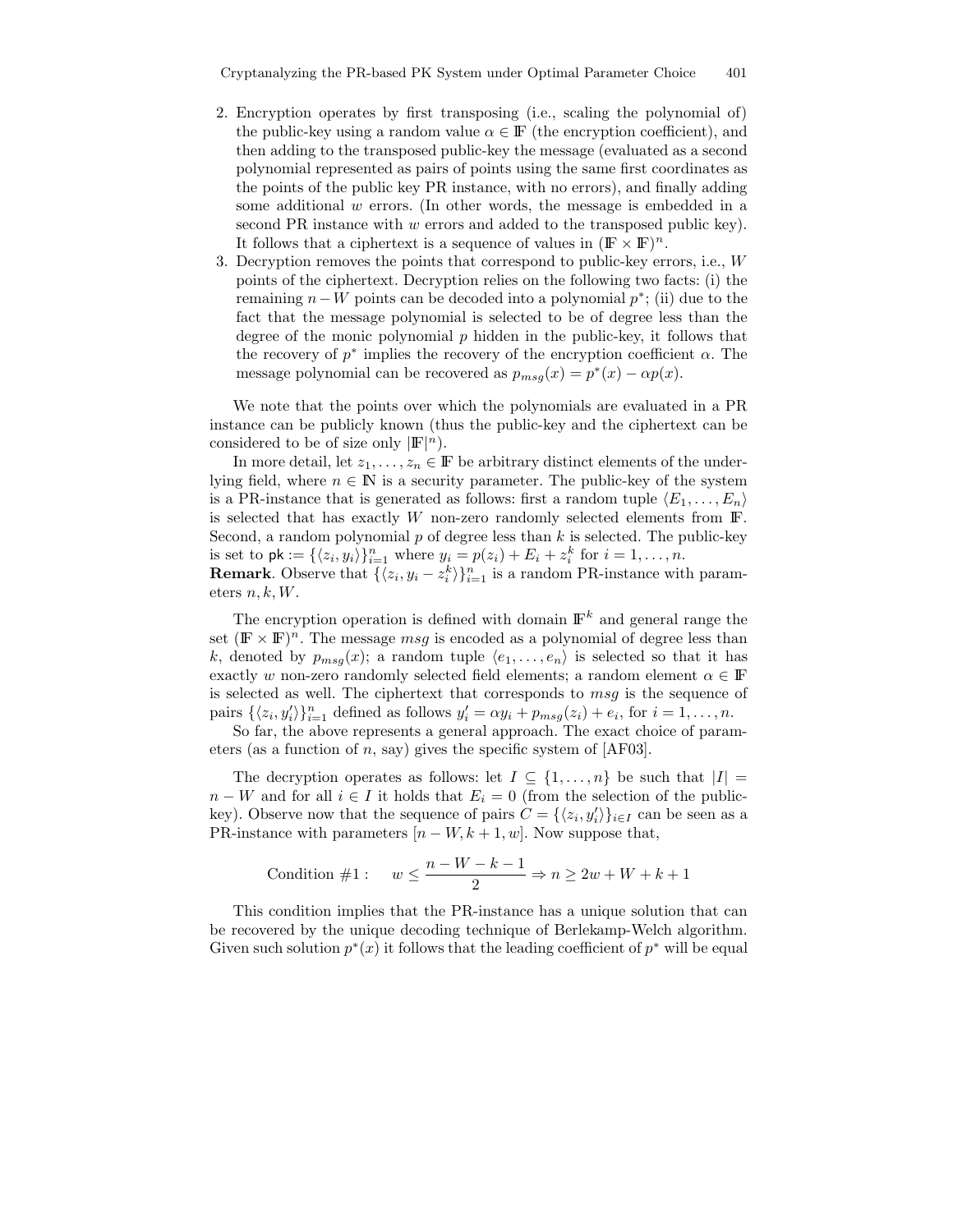- 2. Encryption operates by first transposing (i.e., scaling the polynomial of) the public-key using a random value  $\alpha \in \mathbb{F}$  (the encryption coefficient), and then adding to the transposed public-key the message (evaluated as a second polynomial represented as pairs of points using the same first coordinates as the points of the public key PR instance, with no errors), and finally adding some additional  $w$  errors. (In other words, the message is embedded in a second PR instance with w errors and added to the transposed public key). It follows that a ciphertext is a sequence of values in  $(\mathbb{F} \times \mathbb{F})^n$ .
- 3. Decryption removes the points that correspond to public-key errors, i.e., W points of the ciphertext. Decryption relies on the following two facts: (i) the remaining  $n - W$  points can be decoded into a polynomial  $p^*$ ; (ii) due to the fact that the message polynomial is selected to be of degree less than the degree of the monic polynomial  $p$  hidden in the public-key, it follows that the recovery of  $p^*$  implies the recovery of the encryption coefficient  $\alpha$ . The message polynomial can be recovered as  $p_{msg}(x) = p^*(x) - \alpha p(x)$ .

We note that the points over which the polynomials are evaluated in a PR instance can be publicly known (thus the public-key and the ciphertext can be considered to be of size only  $|\mathbb{F}|^n$ .

In more detail, let  $z_1, \ldots, z_n \in \mathbb{F}$  be arbitrary distinct elements of the underlying field, where  $n \in \mathbb{N}$  is a security parameter. The public-key of the system is a PR-instance that is generated as follows: first a random tuple  $\langle E_1, \ldots, E_n \rangle$ is selected that has exactly  $W$  non-zero randomly selected elements from  $\mathbb{F}$ . Second, a random polynomial  $p$  of degree less than  $k$  is selected. The public-key is set to  $\mathsf{pk} := \{ \langle z_i, y_i \rangle \}_{i=1}^n$  where  $y_i = p(z_i) + E_i + z_i^k$  for  $i = 1, ..., n$ .

**Remark**. Observe that  $\{\langle z_i, y_i - z_i^k \rangle\}_{i=1}^n$  is a random PR-instance with parameters  $n, k, W$ .

The encryption operation is defined with domain  $\mathbb{F}^k$  and general range the set  $(\mathbb{F} \times \mathbb{F})^n$ . The message *msg* is encoded as a polynomial of degree less than k, denoted by  $p_{msg}(x)$ ; a random tuple  $\langle e_1, \ldots, e_n \rangle$  is selected so that it has exactly w non-zero randomly selected field elements; a random element  $\alpha \in \mathbb{F}$ is selected as well. The ciphertext that corresponds to msg is the sequence of pairs  $\{\langle z_i, y'_i \rangle\}_{i=1}^n$  defined as follows  $y'_i = \alpha y_i + p_{msg}(z_i) + e_i$ , for  $i = 1, ..., n$ .

So far, the above represents a general approach. The exact choice of parameters (as a function of n, say) gives the specific system of  $[AF03]$ .

The decryption operates as follows: let  $I \subseteq \{1, \ldots, n\}$  be such that  $|I| =$  $n - W$  and for all  $i \in I$  it holds that  $E_i = 0$  (from the selection of the publickey). Observe now that the sequence of pairs  $C = {\langle z_i, y'_i \rangle}_{i \in I}$  can be seen as a PR-instance with parameters  $[n - W, k + 1, w]$ . Now suppose that,

Condition #1: 
$$
w \leq \frac{n-W-k-1}{2} \Rightarrow n \geq 2w+W+k+1
$$

This condition implies that the PR-instance has a unique solution that can be recovered by the unique decoding technique of Berlekamp-Welch algorithm. Given such solution  $p^*(x)$  it follows that the leading coefficient of  $p^*$  will be equal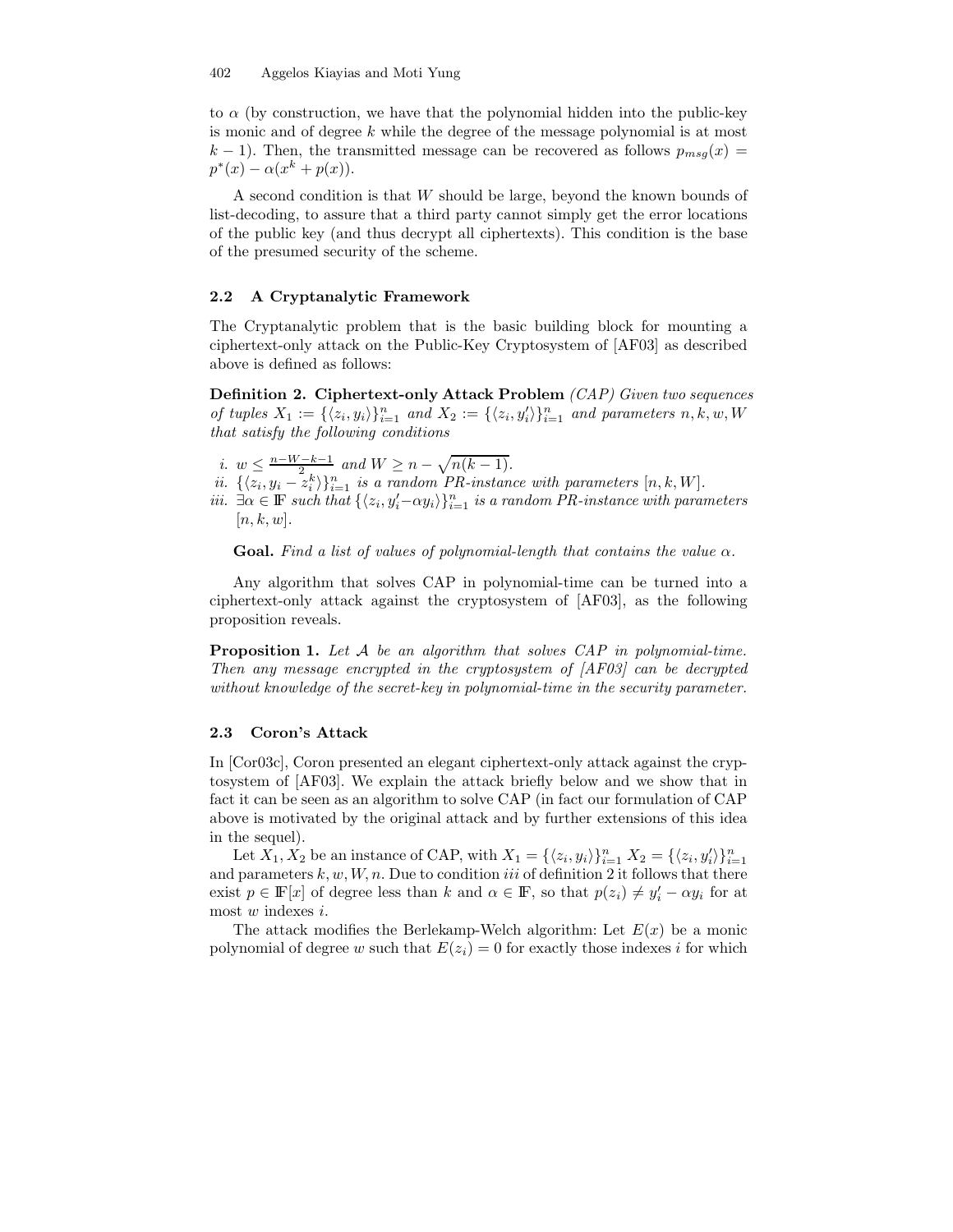to  $\alpha$  (by construction, we have that the polynomial hidden into the public-key is monic and of degree  $k$  while the degree of the message polynomial is at most  $k-1$ ). Then, the transmitted message can be recovered as follows  $p_{msg}(x)$  =  $p^*(x) - \alpha(x^k + p(x)).$ 

A second condition is that  $W$  should be large, beyond the known bounds of list-decoding, to assure that a third party cannot simply get the error locations of the public key (and thus decrypt all ciphertexts). This condition is the base of the presumed security of the scheme.

#### 2.2 A Cryptanalytic Framework

The Cryptanalytic problem that is the basic building block for mounting a ciphertext-only attack on the Public-Key Cryptosystem of [AF03] as described above is defined as follows:

Definition 2. Ciphertext-only Attack Problem (CAP) Given two sequences of tuples  $X_1 := {\langle z_i, y_i \rangle}_{i=1}^n$  and  $X_2 := {\langle z_i, y'_i \rangle}_{i=1}^n$  and parameters  $n, k, w, W$ that satisfy the following conditions

- i.  $w \leq \frac{n-W-k-1}{2}$  and  $W \geq n \sqrt{n(k-1)}$ .
- ii.  $\{\langle z_i, y_i z_i^k \rangle\}_{i=1}^n$  is a random PR-instance with parameters  $[n, k, W]$ .
- iii.  $\exists \alpha \in \mathbb{F}$  such that  $\{\langle z_i, y_i'-\alpha y_i \rangle\}_{i=1}^n$  is a random PR-instance with parameters  $[n, k, w].$

Goal. Find a list of values of polynomial-length that contains the value  $\alpha$ .

Any algorithm that solves CAP in polynomial-time can be turned into a ciphertext-only attack against the cryptosystem of [AF03], as the following proposition reveals.

Proposition 1. Let A be an algorithm that solves CAP in polynomial-time. Then any message encrypted in the cryptosystem of [AF03] can be decrypted without knowledge of the secret-key in polynomial-time in the security parameter.

#### 2.3 Coron's Attack

In [Cor03c], Coron presented an elegant ciphertext-only attack against the cryptosystem of [AF03]. We explain the attack briefly below and we show that in fact it can be seen as an algorithm to solve CAP (in fact our formulation of CAP above is motivated by the original attack and by further extensions of this idea in the sequel).

Let  $X_1, X_2$  be an instance of CAP, with  $X_1 = {\langle z_i, y_i \rangle}_{i=1}^n X_2 = {\langle z_i, y'_i \rangle}_{i=1}^n$ and parameters  $k, w, W, n$ . Due to condition iii of definition 2 it follows that there exist  $p \in \mathbb{F}[x]$  of degree less than k and  $\alpha \in \mathbb{F}$ , so that  $p(z_i) \neq y'_i - \alpha y_i$  for at most w indexes i.

The attack modifies the Berlekamp-Welch algorithm: Let  $E(x)$  be a monic polynomial of degree w such that  $E(z_i) = 0$  for exactly those indexes i for which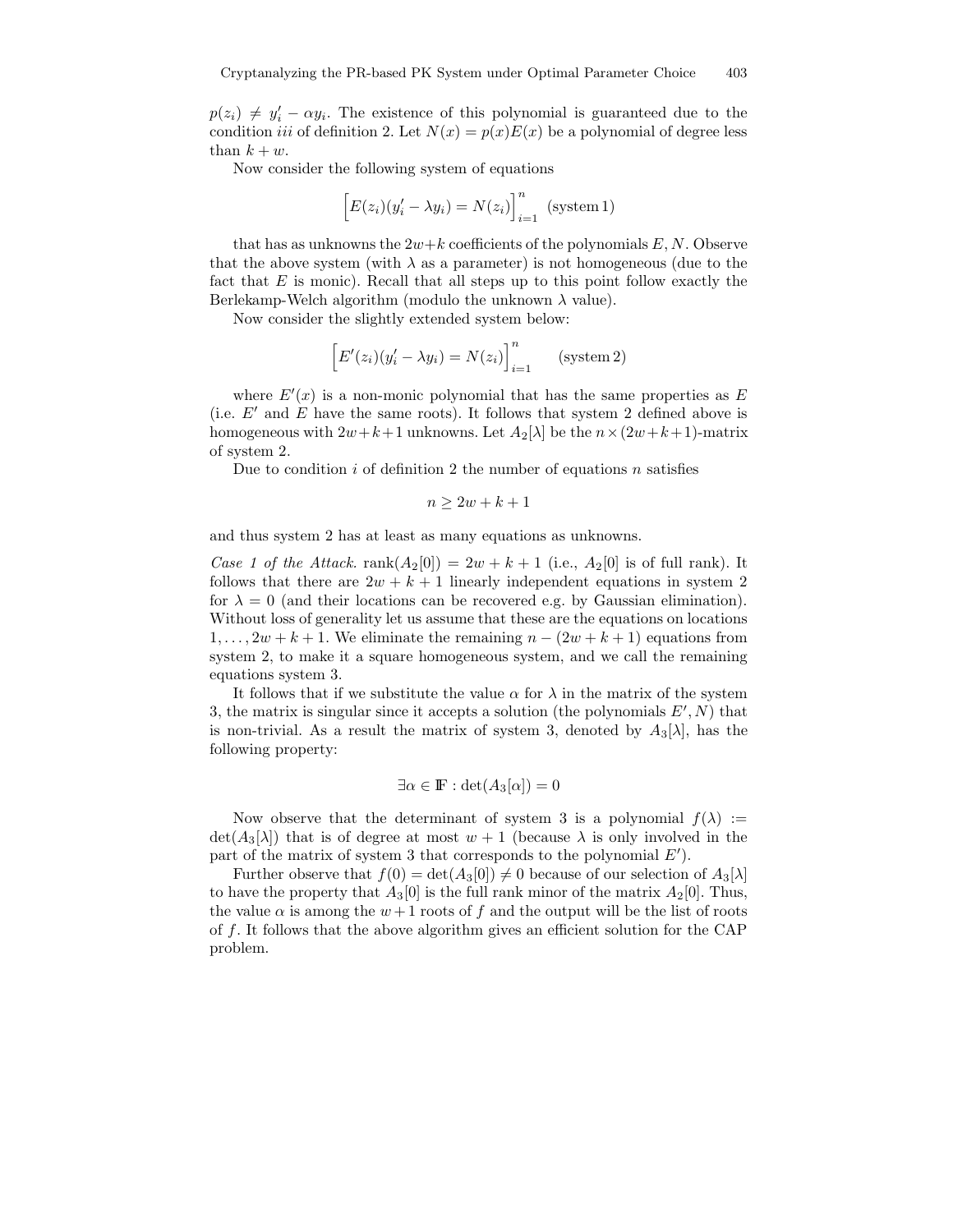$p(z_i) \neq y'_i - \alpha y_i$ . The existence of this polynomial is guaranteed due to the condition *iii* of definition 2. Let  $N(x) = p(x)E(x)$  be a polynomial of degree less than  $k + w$ .

Now consider the following system of equations

$$
\[E(z_i)(y'_i - \lambda y_i) = N(z_i)\]_{i=1}^n \text{ (system 1)}
$$

that has as unknowns the  $2w+k$  coefficients of the polynomials E, N. Observe that the above system (with  $\lambda$  as a parameter) is not homogeneous (due to the fact that  $E$  is monic). Recall that all steps up to this point follow exactly the Berlekamp-Welch algorithm (modulo the unknown  $\lambda$  value).

Now consider the slightly extended system below:

$$
\[E'(z_i)(y'_i - \lambda y_i) = N(z_i)\]_{i=1}^n \quad \text{(system 2)}
$$

where  $E'(x)$  is a non-monic polynomial that has the same properties as E (i.e.  $E'$  and E have the same roots). It follows that system 2 defined above is homogeneous with  $2w+k+1$  unknowns. Let  $A_2[\lambda]$  be the  $n \times (2w+k+1)$ -matrix of system 2.

Due to condition  $i$  of definition 2 the number of equations  $n$  satisfies

$$
n\geq 2w+k+1
$$

and thus system 2 has at least as many equations as unknowns.

Case 1 of the Attack. rank $(A_2[0]) = 2w + k + 1$  (i.e.,  $A_2[0]$  is of full rank). It follows that there are  $2w + k + 1$  linearly independent equations in system 2 for  $\lambda = 0$  (and their locations can be recovered e.g. by Gaussian elimination). Without loss of generality let us assume that these are the equations on locations  $1, \ldots, 2w + k + 1$ . We eliminate the remaining  $n - (2w + k + 1)$  equations from system 2, to make it a square homogeneous system, and we call the remaining equations system 3.

It follows that if we substitute the value  $\alpha$  for  $\lambda$  in the matrix of the system 3, the matrix is singular since it accepts a solution (the polynomials  $E', N$ ) that is non-trivial. As a result the matrix of system 3, denoted by  $A_3[\lambda]$ , has the following property:

$$
\exists \alpha \in \mathbb{F} : \det(A_3[\alpha]) = 0
$$

Now observe that the determinant of system 3 is a polynomial  $f(\lambda) :=$  $\det(A_3[\lambda])$  that is of degree at most  $w + 1$  (because  $\lambda$  is only involved in the part of the matrix of system 3 that corresponds to the polynomial  $E'$ ).

Further observe that  $f(0) = det(A_3[0]) \neq 0$  because of our selection of  $A_3[\lambda]$ to have the property that  $A_3[0]$  is the full rank minor of the matrix  $A_2[0]$ . Thus, the value  $\alpha$  is among the  $w+1$  roots of f and the output will be the list of roots of f. It follows that the above algorithm gives an efficient solution for the CAP problem.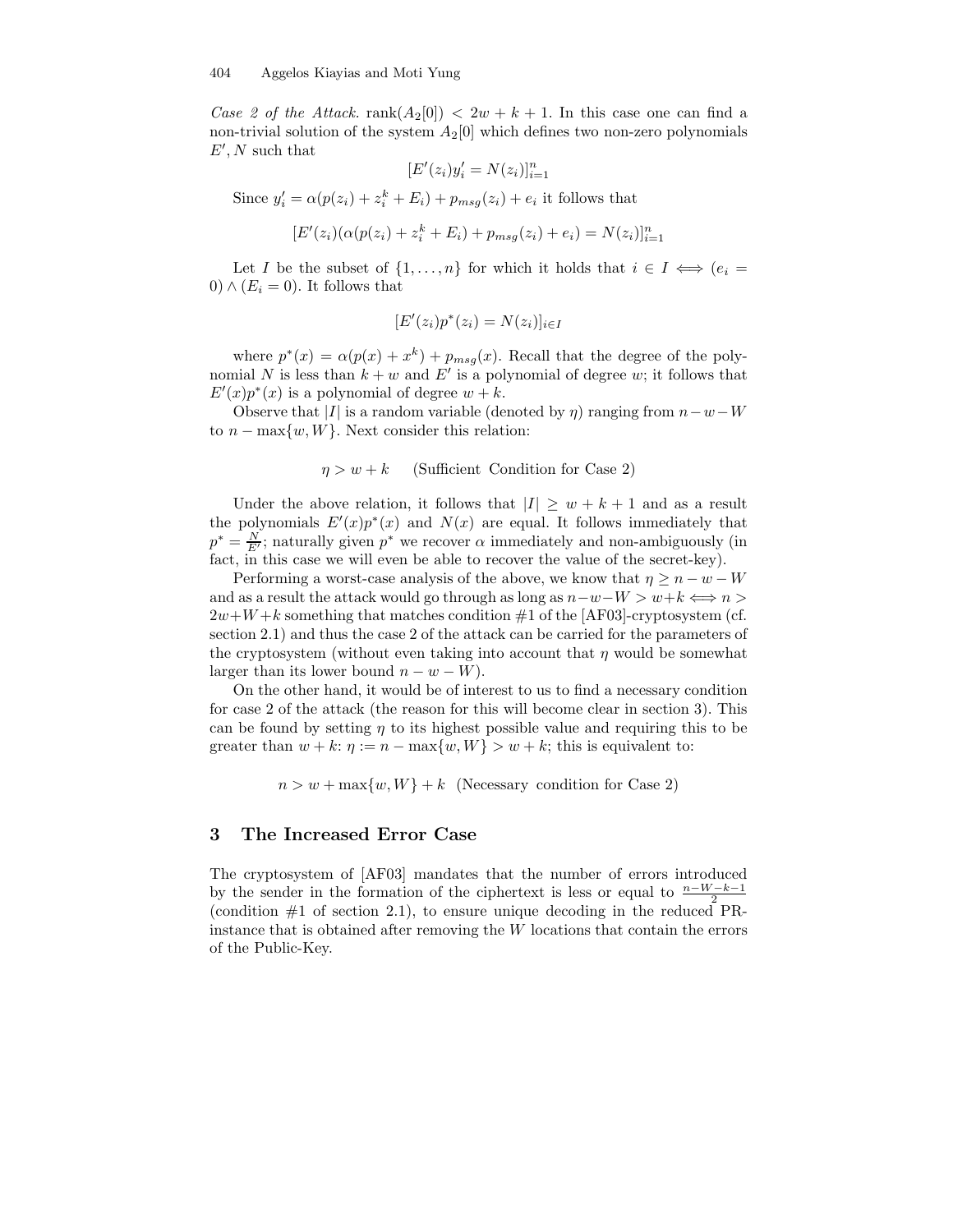Case 2 of the Attack. rank $(A_2[0]) < 2w + k + 1$ . In this case one can find a non-trivial solution of the system  $A_2[0]$  which defines two non-zero polynomials  $E', N$  such that

$$
[E'(z_i)y_i' = N(z_i)]_{i=1}^n
$$

Since  $y'_i = \alpha (p(z_i) + z_i^k + E_i) + p_{msg}(z_i) + e_i$  it follows that

$$
[E'(z_i)(\alpha(p(z_i) + z_i^k + E_i) + p_{msg}(z_i) + e_i) = N(z_i)]_{i=1}^n
$$

Let I be the subset of  $\{1, \ldots, n\}$  for which it holds that  $i \in I \iff (e_i =$ 0)  $\wedge$  ( $E_i = 0$ ). It follows that

$$
[E'(z_i)p^*(z_i) = N(z_i)]_{i \in I}
$$

where  $p^*(x) = \alpha(p(x) + x^k) + p_{msg}(x)$ . Recall that the degree of the polynomial N is less than  $k + w$  and E' is a polynomial of degree w; it follows that  $E'(x)p^*(x)$  is a polynomial of degree  $w+k$ .

Observe that |I| is a random variable (denoted by  $\eta$ ) ranging from  $n-w-W$ to  $n - \max\{w, W\}$ . Next consider this relation:

 $\eta > w + k$  (Sufficient Condition for Case 2)

Under the above relation, it follows that  $|I| \geq w + k + 1$  and as a result the polynomials  $E'(x)p^*(x)$  and  $N(x)$  are equal. It follows immediately that  $p^* = \frac{N}{E'}$ ; naturally given  $p^*$  we recover  $\alpha$  immediately and non-ambiguously (in fact, in this case we will even be able to recover the value of the secret-key).

Performing a worst-case analysis of the above, we know that  $\eta \geq n - w - W$ and as a result the attack would go through as long as  $n-w-W > w+k \iff n >$  $2w+W+k$  something that matches condition  $#1$  of the [AF03]-cryptosystem (cf. section 2.1) and thus the case 2 of the attack can be carried for the parameters of the cryptosystem (without even taking into account that  $\eta$  would be somewhat larger than its lower bound  $n - w - W$ ).

On the other hand, it would be of interest to us to find a necessary condition for case 2 of the attack (the reason for this will become clear in section 3). This can be found by setting  $\eta$  to its highest possible value and requiring this to be greater than  $w + k: \eta := n - \max\{w, W\} > w + k$ ; this is equivalent to:

 $n > w + \max\{w, W\} + k$  (Necessary condition for Case 2)

### 3 The Increased Error Case

The cryptosystem of [AF03] mandates that the number of errors introduced by the sender in the formation of the ciphertext is less or equal to  $\frac{n-W-k-1}{2}$ (condition  $#1$  of section 2.1), to ensure unique decoding in the reduced PRinstance that is obtained after removing the W locations that contain the errors of the Public-Key.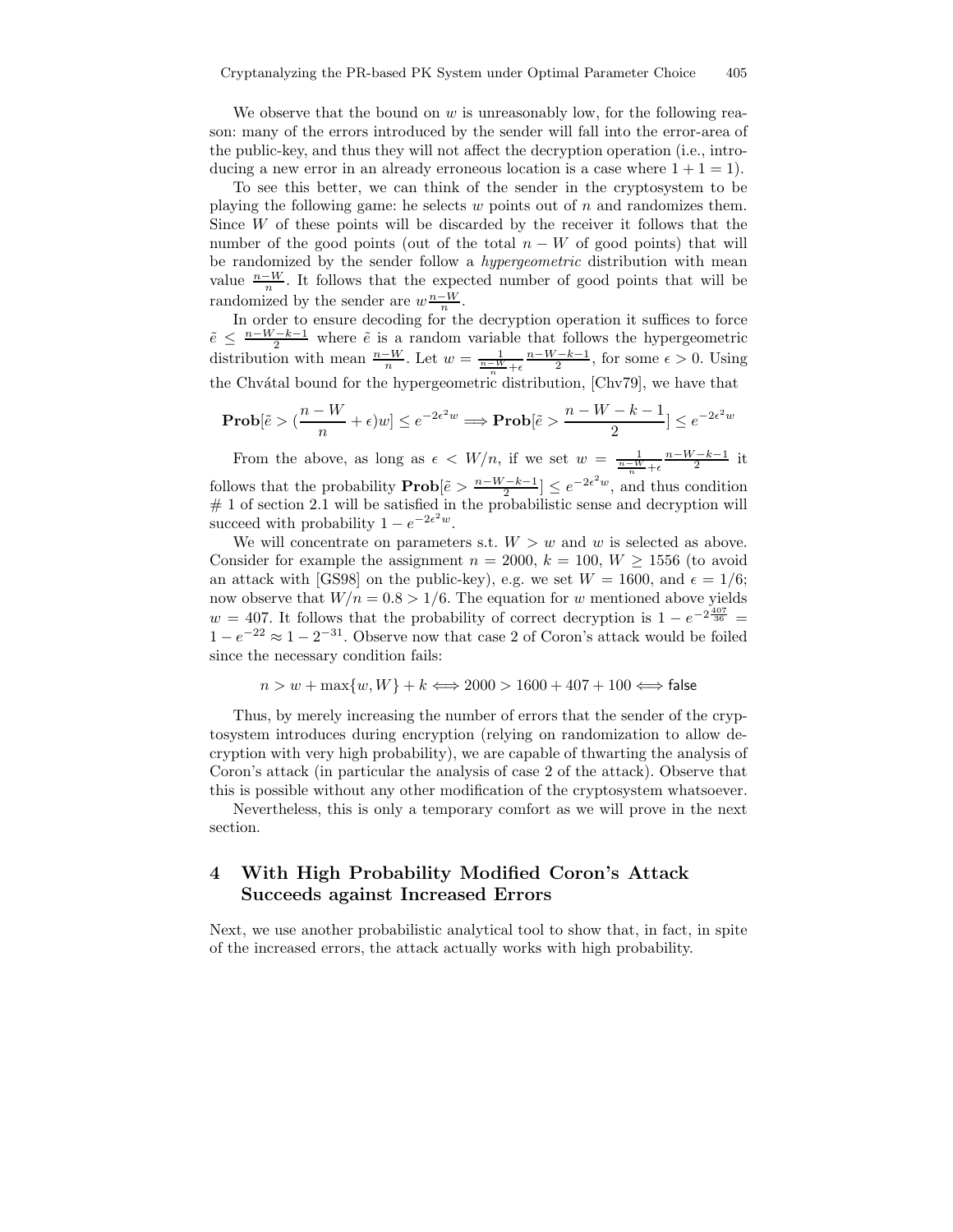We observe that the bound on  $w$  is unreasonably low, for the following reason: many of the errors introduced by the sender will fall into the error-area of the public-key, and thus they will not affect the decryption operation (i.e., introducing a new error in an already erroneous location is a case where  $1 + 1 = 1$ .

To see this better, we can think of the sender in the cryptosystem to be playing the following game: he selects  $w$  points out of  $n$  and randomizes them. Since W of these points will be discarded by the receiver it follows that the number of the good points (out of the total  $n - W$  of good points) that will be randomized by the sender follow a *hypergeometric* distribution with mean value  $\frac{n-W}{n}$ . It follows that the expected number of good points that will be randomized by the sender are  $w \frac{n-W}{n}$ .

In order to ensure decoding for the decryption operation it suffices to force  $\tilde{e} \leq \frac{n-W-k-1}{2}$  where  $\tilde{e}$  is a random variable that follows the hypergeometric distribution with mean  $\frac{n-W}{n}$ . Let  $w = \frac{1}{\frac{n-W}{n} + \epsilon}$  $\frac{n-W-k-1}{2}$ , for some  $\epsilon > 0$ . Using the Chvátal bound for the hypergeometric distribution, [Chv79], we have that

$$
\mathbf{Prob}[\tilde{e} > (\frac{n-W}{n} + \epsilon)w] \le e^{-2\epsilon^2 w} \Longrightarrow \mathbf{Prob}[\tilde{e} > \frac{n-W-k-1}{2}] \le e^{-2\epsilon^2 w}
$$

From the above, as long as  $\epsilon \, \langle W/n, \rangle$  if we set  $w = \frac{1}{\frac{n-W}{n} + \epsilon}$  $\frac{n-W-k-1}{2}$  it follows that the probability  $\mathbf{Prob}[\tilde{e} > \frac{n-W-k-1}{2}] \leq e^{-2\epsilon^2 w}$ , and thus condition  $# 1$  of section 2.1 will be satisfied in the probabilistic sense and decryption will succeed with probability  $1 - e^{-2\epsilon^2 w}$ .

We will concentrate on parameters s.t.  $W > w$  and w is selected as above. Consider for example the assignment  $n = 2000$ ,  $k = 100$ ,  $W > 1556$  (to avoid an attack with [GS98] on the public-key), e.g. we set  $W = 1600$ , and  $\epsilon = 1/6$ ; now observe that  $W/n = 0.8 > 1/6$ . The equation for w mentioned above yields  $w = 407$ . It follows that the probability of correct decryption is  $1 - e^{-2\frac{407}{36}} =$  $1 - e^{-22} \approx 1 - 2^{-31}$ . Observe now that case 2 of Coron's attack would be foiled since the necessary condition fails:

 $n > w + \max\{w, W\} + k \Longleftrightarrow 2000 > 1600 + 407 + 100 \Longleftrightarrow$  false

Thus, by merely increasing the number of errors that the sender of the cryptosystem introduces during encryption (relying on randomization to allow decryption with very high probability), we are capable of thwarting the analysis of Coron's attack (in particular the analysis of case 2 of the attack). Observe that this is possible without any other modification of the cryptosystem whatsoever.

Nevertheless, this is only a temporary comfort as we will prove in the next section.

# 4 With High Probability Modified Coron's Attack Succeeds against Increased Errors

Next, we use another probabilistic analytical tool to show that, in fact, in spite of the increased errors, the attack actually works with high probability.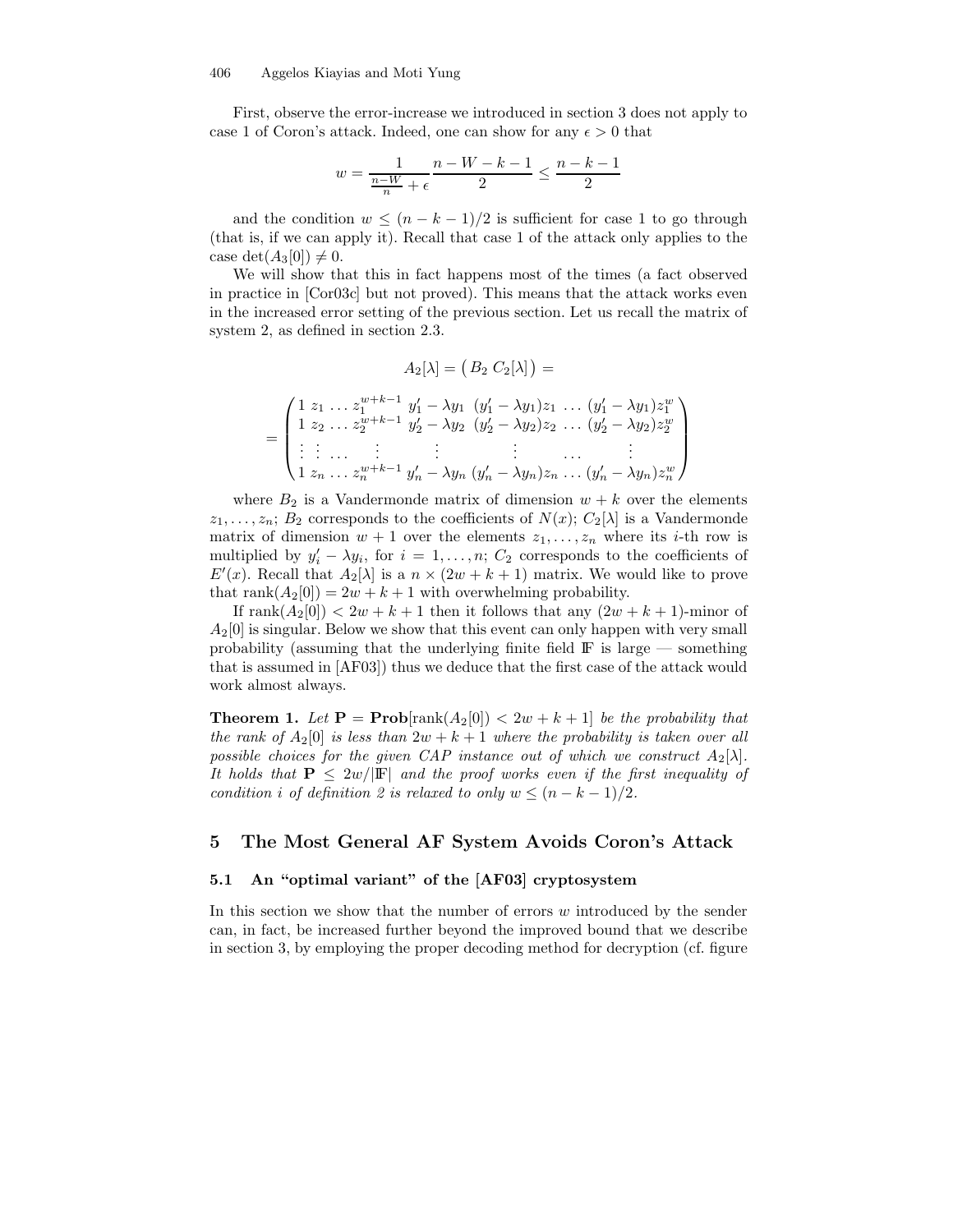First, observe the error-increase we introduced in section 3 does not apply to case 1 of Coron's attack. Indeed, one can show for any  $\epsilon > 0$  that

$$
w = \frac{1}{\frac{n-W}{n} + \epsilon} \frac{n-W-k-1}{2} \le \frac{n-k-1}{2}
$$

and the condition  $w \leq (n - k - 1)/2$  is sufficient for case 1 to go through (that is, if we can apply it). Recall that case 1 of the attack only applies to the case det $(A_3[0]) \neq 0$ .

We will show that this in fact happens most of the times (a fact observed in practice in [Cor03c] but not proved). This means that the attack works even in the increased error setting of the previous section. Let us recall the matrix of system 2, as defined in section 2.3.

$$
A_2[\lambda]=\big(\,B_2\ C_2[\lambda]\,\big)=
$$

$$
= \begin{pmatrix} 1 & z_1 & \ldots & z_1^{w+k-1} & y_1' - \lambda y_1 & (y_1' - \lambda y_1) z_1 & \ldots & (y_1' - \lambda y_1) z_1^w \\ 1 & z_2 & \ldots & z_2^{w+k-1} & y_2' - \lambda y_2 & (y_2' - \lambda y_2) z_2 & \ldots & (y_2' - \lambda y_2) z_2^w \\ \vdots & \vdots & \vdots & \vdots & \vdots & \vdots & \vdots & \vdots \\ 1 & z_n & \ldots & z_n^{w+k-1} & y_n' - \lambda y_n & (y_n' - \lambda y_n) z_n & \ldots & (y_n' - \lambda y_n) z_n^w \end{pmatrix}
$$

where  $B_2$  is a Vandermonde matrix of dimension  $w + k$  over the elements  $z_1, \ldots, z_n$ ;  $B_2$  corresponds to the coefficients of  $N(x)$ ;  $C_2[\lambda]$  is a Vandermonde matrix of dimension  $w + 1$  over the elements  $z_1, \ldots, z_n$  where its *i*-th row is multiplied by  $y'_i - \lambda y_i$ , for  $i = 1, \ldots, n$ ;  $C_2$  corresponds to the coefficients of  $E'(x)$ . Recall that  $A_2[\lambda]$  is a  $n \times (2w + k + 1)$  matrix. We would like to prove that rank $(A_2[0]) = 2w + k + 1$  with overwhelming probability.

If rank $(A_2[0]) < 2w + k + 1$  then it follows that any  $(2w + k + 1)$ -minor of  $A_2[0]$  is singular. Below we show that this event can only happen with very small probability (assuming that the underlying finite field  $\mathbb{F}$  is large — something that is assumed in [AF03]) thus we deduce that the first case of the attack would work almost always.

**Theorem 1.** Let  $P = Prob[rank(A_2[0]) < 2w + k + 1]$  be the probability that the rank of  $A_2[0]$  is less than  $2w + k + 1$  where the probability is taken over all possible choices for the given CAP instance out of which we construct  $A_2[\lambda]$ . It holds that  $P \leq 2w/|F|$  and the proof works even if the first inequality of condition i of definition 2 is relaxed to only  $w \leq (n - k - 1)/2$ .

### 5 The Most General AF System Avoids Coron's Attack

### 5.1 An "optimal variant" of the [AF03] cryptosystem

In this section we show that the number of errors w introduced by the sender can, in fact, be increased further beyond the improved bound that we describe in section 3, by employing the proper decoding method for decryption (cf. figure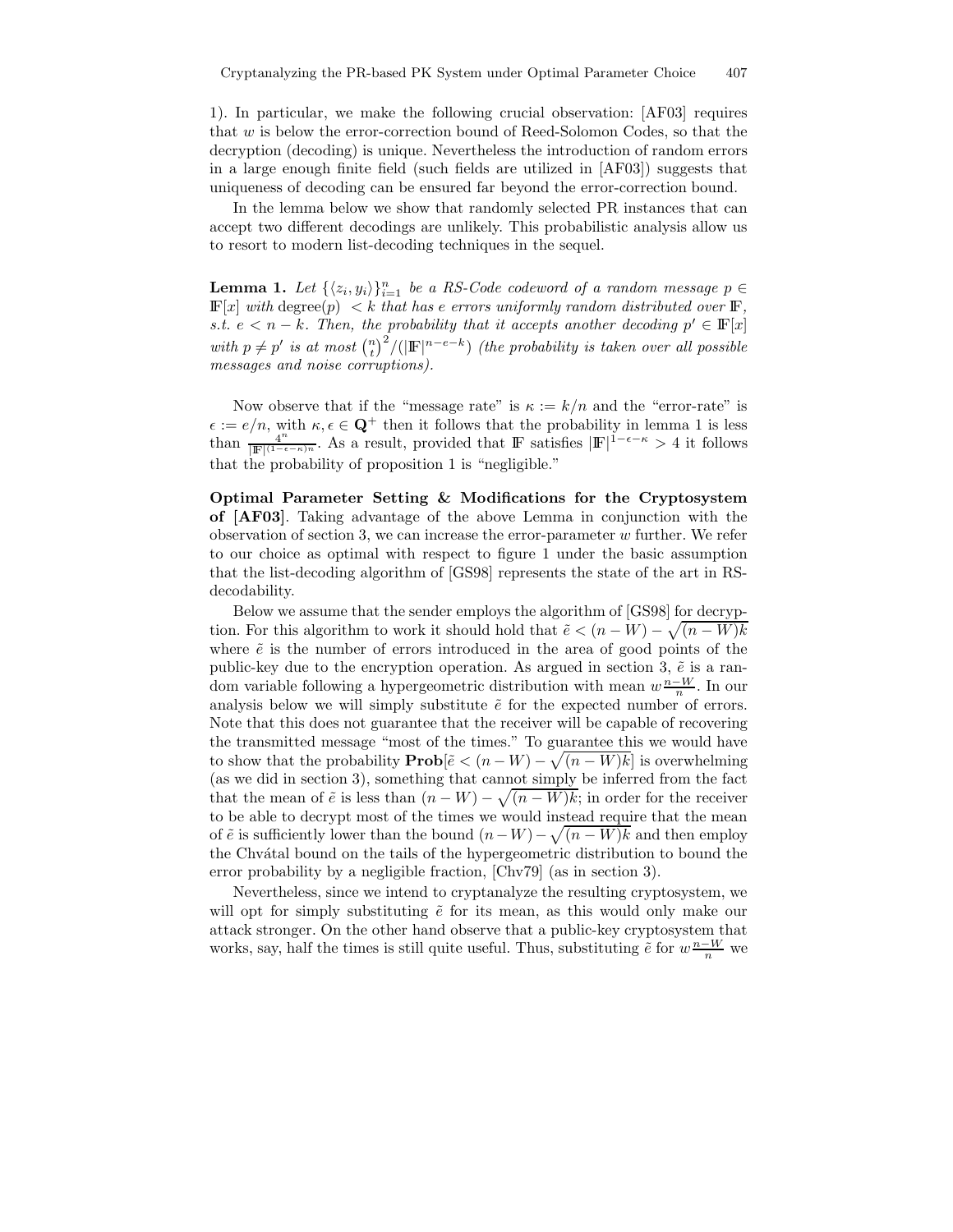1). In particular, we make the following crucial observation: [AF03] requires that w is below the error-correction bound of Reed-Solomon Codes, so that the decryption (decoding) is unique. Nevertheless the introduction of random errors in a large enough finite field (such fields are utilized in [AF03]) suggests that uniqueness of decoding can be ensured far beyond the error-correction bound.

In the lemma below we show that randomly selected PR instances that can accept two different decodings are unlikely. This probabilistic analysis allow us to resort to modern list-decoding techniques in the sequel.

**Lemma 1.** Let  $\{\langle z_i, y_i \rangle\}_{i=1}^n$  be a RS-Code codeword of a random message  $p \in$  $\mathbb{F}[x]$  with degree $(p) < k$  that has e errors uniformly random distributed over  $\mathbb{F}$ , s.t.  $e < n - k$ . Then, the probability that it accepts another decoding  $p' \in \mathbb{F}[x]$ with  $p \neq p'$  is at most  $\binom{n}{t}^2/(|\mathbf{F}|^{n-e-k})$  (the probability is taken over all possible messages and noise corruptions).

Now observe that if the "message rate" is  $\kappa := k/n$  and the "error-rate" is  $\epsilon := e/n$ , with  $\kappa, \epsilon \in \mathbf{Q}^+$  then it follows that the probability in lemma 1 is less than  $\frac{4^n}{\ln |F| (1-\epsilon)}$  $\frac{4^n}{|\mathbb{F}|^{(1-\epsilon-\kappa)n}}$ . As a result, provided that F satisfies  $|\mathbb{F}|^{1-\epsilon-\kappa} > 4$  it follows that the probability of proposition 1 is "negligible."

Optimal Parameter Setting & Modifications for the Cryptosystem of [AF03]. Taking advantage of the above Lemma in conjunction with the observation of section 3, we can increase the error-parameter  $w$  further. We refer to our choice as optimal with respect to figure 1 under the basic assumption that the list-decoding algorithm of [GS98] represents the state of the art in RSdecodability.

Below we assume that the sender employs the algorithm of [GS98] for decryption. For this algorithm to work it should hold that  $\tilde{e} < (n - W) - \sqrt{(n - W)k}$ where  $\tilde{e}$  is the number of errors introduced in the area of good points of the public-key due to the encryption operation. As argued in section 3,  $\tilde{e}$  is a random variable following a hypergeometric distribution with mean  $w \frac{n-W}{n}$ . In our analysis below we will simply substitute  $\tilde{e}$  for the expected number of errors. Note that this does not guarantee that the receiver will be capable of recovering the transmitted message "most of the times." To guarantee this we would have to show that the probability  $\mathbf{Prob}[\tilde{e} < (n - W) - \sqrt{(n - W)k}]$  is overwhelming (as we did in section 3), something that cannot simply be inferred from the fact that the mean of  $\tilde{e}$  is less than  $(n - W) - \sqrt{(n - W)k}$ ; in order for the receiver to be able to decrypt most of the times we would instead require that the mean of  $\tilde{e}$  is sufficiently lower than the bound  $(n-W) - \sqrt{(n-W)k}$  and then employ the Chv´atal bound on the tails of the hypergeometric distribution to bound the error probability by a negligible fraction, [Chv79] (as in section 3).

Nevertheless, since we intend to cryptanalyze the resulting cryptosystem, we will opt for simply substituting  $\tilde{e}$  for its mean, as this would only make our attack stronger. On the other hand observe that a public-key cryptosystem that works, say, half the times is still quite useful. Thus, substituting  $\tilde{e}$  for  $w \frac{n-W}{n}$  we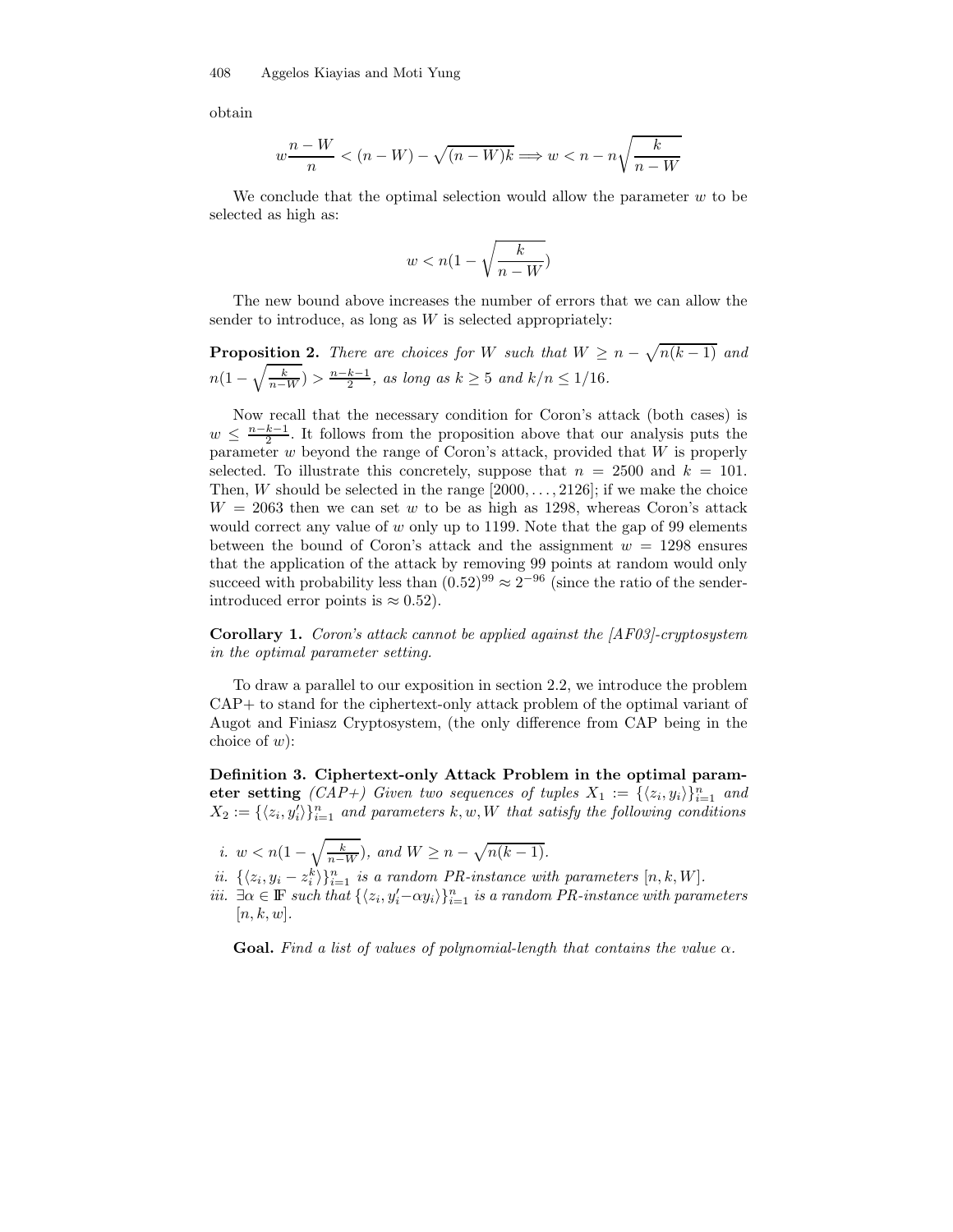obtain

$$
w\frac{n-W}{n} < (n-W) - \sqrt{(n-W)k} \Longrightarrow w < n - n\sqrt{\frac{k}{n-W}}
$$

We conclude that the optimal selection would allow the parameter  $w$  to be selected as high as:

$$
w < n(1-\sqrt{\frac{k}{n-W}})
$$

The new bound above increases the number of errors that we can allow the sender to introduce, as long as  $W$  is selected appropriately:

**Proposition 2.** There are choices for W such that  $W \geq n - \sqrt{n(k-1)}$  and  $n(1-\sqrt{\frac{k}{n-W}}) > \frac{n-k-1}{2}$ , as long as  $k \geq 5$  and  $k/n \leq 1/16$ .

Now recall that the necessary condition for Coron's attack (both cases) is  $w \leq \frac{n-k-1}{2}$ . It follows from the proposition above that our analysis puts the parameter  $w$  beyond the range of Coron's attack, provided that  $W$  is properly selected. To illustrate this concretely, suppose that  $n = 2500$  and  $k = 101$ . Then, W should be selected in the range  $[2000, \ldots, 2126]$ ; if we make the choice  $W = 2063$  then we can set w to be as high as 1298, whereas Coron's attack would correct any value of  $w$  only up to 1199. Note that the gap of 99 elements between the bound of Coron's attack and the assignment  $w = 1298$  ensures that the application of the attack by removing 99 points at random would only succeed with probability less than  $(0.52)^{99} \approx 2^{-96}$  (since the ratio of the senderintroduced error points is  $\approx 0.52$ ).

Corollary 1. Coron's attack cannot be applied against the [AF03]-cryptosystem in the optimal parameter setting.

To draw a parallel to our exposition in section 2.2, we introduce the problem CAP+ to stand for the ciphertext-only attack problem of the optimal variant of Augot and Finiasz Cryptosystem, (the only difference from CAP being in the choice of  $w$ :

Definition 3. Ciphertext-only Attack Problem in the optimal parameter setting  $(CAP+)$  Given two sequences of tuples  $X_1 := {\langle z_i, y_i \rangle\}_{i=1}^n$  and  $X_2 := \{ \langle z_i, y_i' \rangle \}_{i=1}^n$  and parameters  $k, w, W$  that satisfy the following conditions

- i.  $w < n(1 \sqrt{\frac{k}{n-W}})$ , and  $W \ge n \sqrt{n(k-1)}$ .
- ii.  $\{\langle z_i, y_i z_i^k \rangle\}_{i=1}^n$  is a random PR-instance with parameters  $[n, k, W]$ .
- iii.  $\exists \alpha \in \mathbb{F}$  such that  $\{\langle z_i, y_i'-\alpha y_i \rangle\}_{i=1}^n$  is a random PR-instance with parameters  $[n, k, w].$

**Goal.** Find a list of values of polynomial-length that contains the value  $\alpha$ .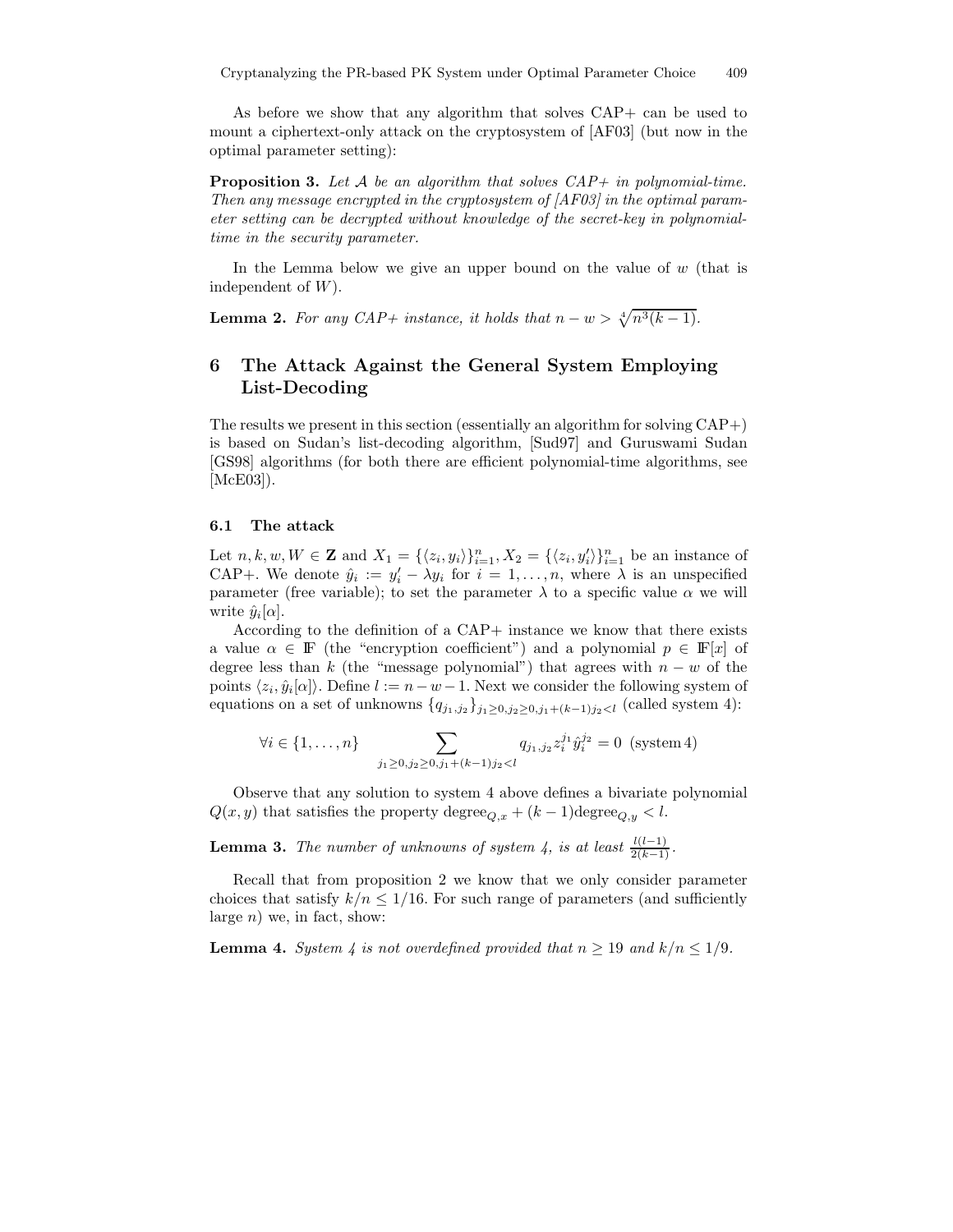As before we show that any algorithm that solves CAP+ can be used to mount a ciphertext-only attack on the cryptosystem of [AF03] (but now in the optimal parameter setting):

**Proposition 3.** Let A be an algorithm that solves  $CAP+$  in polynomial-time. Then any message encrypted in the cryptosystem of [AF03] in the optimal parameter setting can be decrypted without knowledge of the secret-key in polynomialtime in the security parameter.

In the Lemma below we give an upper bound on the value of  $w$  (that is independent of  $W$ ).

**Lemma 2.** For any CAP+ instance, it holds that  $n - w > \sqrt[4]{n^3(k-1)}$ .

# 6 The Attack Against the General System Employing List-Decoding

The results we present in this section (essentially an algorithm for solving CAP+) is based on Sudan's list-decoding algorithm, [Sud97] and Guruswami Sudan [GS98] algorithms (for both there are efficient polynomial-time algorithms, see [McE03]).

#### 6.1 The attack

Let  $n, k, w, W \in \mathbf{Z}$  and  $X_1 = {\langle z_i, y_i \rangle\}_{i=1}^n, X_2 = {\langle z_i, y_i' \rangle\}_{i=1}^n$  be an instance of CAP+. We denote  $\hat{y}_i := y'_i - \lambda y_i$  for  $i = 1, ..., n$ , where  $\lambda$  is an unspecified parameter (free variable); to set the parameter  $\lambda$  to a specific value  $\alpha$  we will write  $\hat{y}_i[\alpha]$ .

According to the definition of a CAP+ instance we know that there exists a value  $\alpha \in \mathbb{F}$  (the "encryption coefficient") and a polynomial  $p \in \mathbb{F}[x]$  of degree less than k (the "message polynomial") that agrees with  $n - w$  of the points  $\langle z_i, \hat{y}_i[\alpha] \rangle$ . Define  $l := n - w - 1$ . Next we consider the following system of equations on a set of unknowns  $\{q_{j_1,j_2}\}_{j_1\geq 0,j_2\geq 0,j_1+(k-1)j_2\leq l}$  (called system 4):

$$
\forall i \in \{1, ..., n\} \sum_{j_1 \ge 0, j_2 \ge 0, j_1 + (k-1)j_2 < l} q_{j_1, j_2} z_i^{j_1} \hat{y}_i^{j_2} = 0 \text{ (system 4)}
$$

Observe that any solution to system 4 above defines a bivariate polynomial  $Q(x, y)$  that satisfies the property degree<sub> $Q, x + (k-1)$ degree $Q, y < l$ .</sub>

**Lemma 3.** The number of unknowns of system 4, is at least  $\frac{l(l-1)}{2(k-1)}$ .

Recall that from proposition 2 we know that we only consider parameter choices that satisfy  $k/n \leq 1/16$ . For such range of parameters (and sufficiently large  $n)$  we, in fact, show:

**Lemma 4.** System 4 is not overdefined provided that  $n \geq 19$  and  $k/n \leq 1/9$ .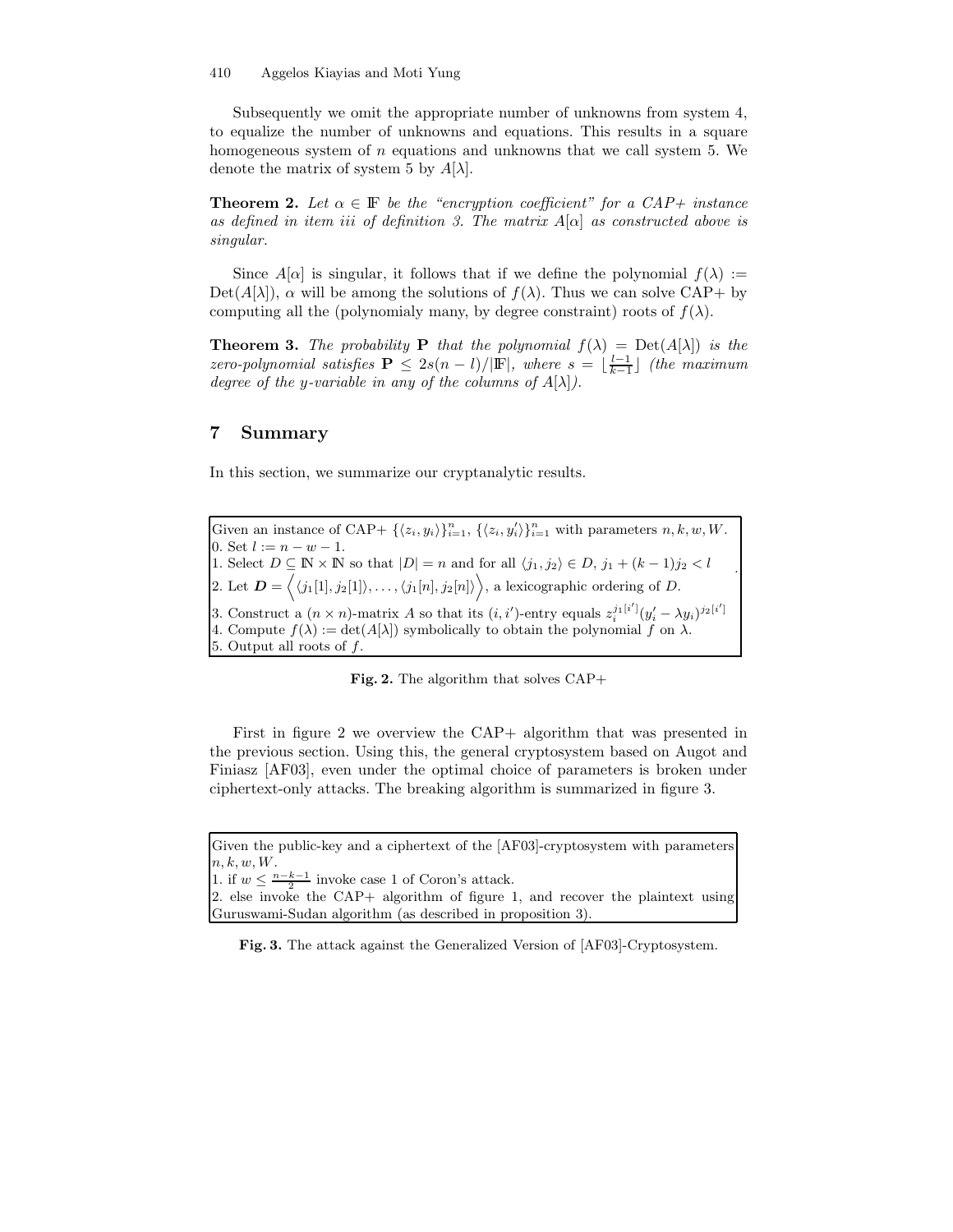Subsequently we omit the appropriate number of unknowns from system 4, to equalize the number of unknowns and equations. This results in a square homogeneous system of  $n$  equations and unknowns that we call system 5. We denote the matrix of system 5 by  $A[\lambda]$ .

**Theorem 2.** Let  $\alpha \in \mathbb{F}$  be the "encryption coefficient" for a CAP+ instance as defined in item iii of definition 3. The matrix  $A[\alpha]$  as constructed above is singular.

Since  $A[\alpha]$  is singular, it follows that if we define the polynomial  $f(\lambda) :=$  $Det(A[\lambda])$ ,  $\alpha$  will be among the solutions of  $f(\lambda)$ . Thus we can solve CAP+ by computing all the (polynomialy many, by degree constraint) roots of  $f(\lambda)$ .

**Theorem 3.** The probability **P** that the polynomial  $f(\lambda) = Det(A[\lambda])$  is the zero-polynomial satisfies  $\mathbf{P} \leq 2s(n-l)/|\mathbf{F}|$ , where  $s = \lfloor \frac{l-1}{k-1} \rfloor$  (the maximum degree of the y-variable in any of the columns of  $A[\lambda]$ .

## 7 Summary

In this section, we summarize our cryptanalytic results.

Given an instance of CAP+  $\{\langle z_i, y_i \rangle\}_{i=1}^n$ ,  $\{\langle z_i, y'_i \rangle\}_{i=1}^n$  with parameters  $n, k, w, W$ . 0. Set  $l := n - w - 1$ . 1. Select  $D \subseteq \mathbb{N} \times \mathbb{N}$  so that  $|D| = n$  and for all  $\langle j_1, j_2 \rangle \in D$ ,  $j_1 + (k-1)j_2 < l$ 2. Let  $\boldsymbol{D} = \langle \langle j_1[1], j_2[1] \rangle, \ldots, \langle j_1[n], j_2[n] \rangle \rangle$ , a lexicographic ordering of D. 3. Construct a  $(n \times n)$ -matrix A so that its  $(i, i')$ -entry equals  $z_i^{j_1[i']} (y_i' - \lambda y_i)^{j_2[i']}$ . 4. Compute  $f(\lambda) := \det(A[\lambda])$  symbolically to obtain the polynomial f on  $\lambda$ . 5. Output all roots of  $f$ .

Fig. 2. The algorithm that solves CAP+

First in figure 2 we overview the CAP+ algorithm that was presented in the previous section. Using this, the general cryptosystem based on Augot and Finiasz [AF03], even under the optimal choice of parameters is broken under ciphertext-only attacks. The breaking algorithm is summarized in figure 3.

1. if  $w \leq \frac{n-k-1}{2}$  invoke case 1 of Coron's attack.

2. else invoke the CAP+ algorithm of figure 1, and recover the plaintext using Guruswami-Sudan algorithm (as described in proposition 3).

Fig. 3. The attack against the Generalized Version of [AF03]-Cryptosystem.

Given the public-key and a ciphertext of the [AF03]-cryptosystem with parameters  $n, k, w, W$ .